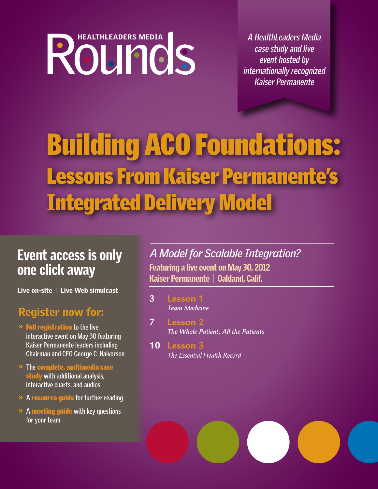# HEALTHLEADERS MEDIA

**A HealthLeaders Media case study and live event hosted by internationally recognized Kaiser Permanente** 

# Building ACO Foundations: Lessons From Kaiser Permanente's Integrated Delivery Model

# one click away

[Live on-site](http://www.hcmarketplace.com/Prod.cfm?id=10323&e_topic=WS_HLM2) | [Live Web simulcast](http://www.hcmarketplace.com/Prod.cfm?id=10324&e_topic=WS_HLM2)

### Register now for:

- »Full registration **to the live, interactive event on May 30 featuring Kaiser Permanente leaders including Chairman and CEO George C. Halvorson**
- » **The** complete, multimedia case study **with additional analysis, interactive charts, and audios**
- » **A** resource guide **for further reading**
- » **A** meeting guide **with key questions for your team**

Featuring a live event on May 30, 2012 Kaiser Permanente | Oakland, Calif. Event access is only *A Model for Scalable Integration?*

- **3 [Lesson 1](#page-2-0)**  *Team Medicine*
- **7 [Lesson 2](#page-6-0)**  *The Whole Patient, All the Patients*
- **10 Lesson 3** *[The Essential Health Record](#page-9-0)*

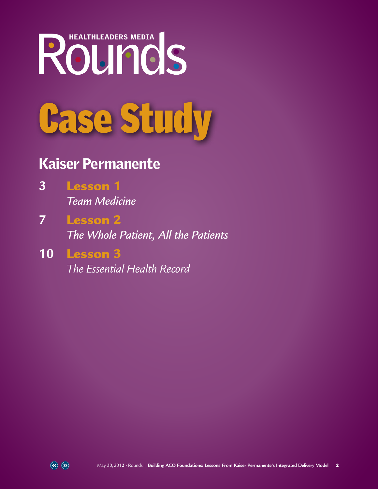# Case Study HEALTHLEADERS MEDIA

## Kaiser Permanente

- **3** Lesson 1  *Team Medicine*
- **7** Lesson 2  *The Whole Patient, All the Patients*
- **10** Lesson 3 *The Essential Health Record*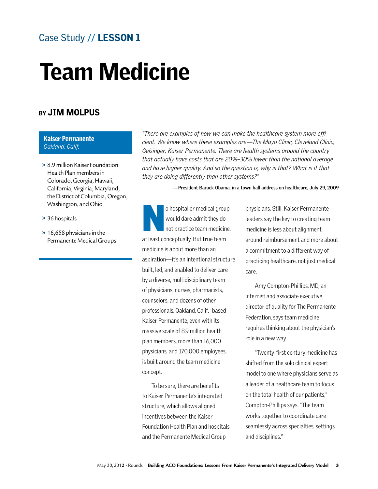### <span id="page-2-0"></span>Case Study // LESSON 1

## Team Medicine

#### BY JIM MOLPUS

#### Kaiser Permanente *Oakland, Calif.*

- » 8.9 million Kaiser Foundation Health Plan membersin Colorado, Georgia, Hawaii, California, Virginia, Maryland, the District of Columbia, Oregon, Washington, andOhio
- » 36 hospitals
- **»** 16,658 physicians in the Permanente Medical Groups

*"There are examples of how we can make the healthcare system more efficient. We know where these examples are—The Mayo Clinic, Cleveland Clinic, Geisinger, Kaiser Permanente. There are health systems around the country that actually have costs that are 20%–30% lower than the national average*  and have higher quality. And so the question is, why is that? What is it that *they are doing differently than other systems?"*

**—President Barack Obama, in a town hall address on healthcare, July 29, 2009** 

o hospital or medical group<br>
would dare admit they do<br>
not practice team medicine, would dare admit they do at least conceptually. But true team medicine is about more than an aspiration—it's an intentional structure built, led, and enabled to deliver care by a diverse, multidisciplinary team of physicians, nurses, pharmacists, counselors, and dozens of other professionals. Oakland, Calif.–based Kaiser Permanente, even with its massive scale of 8.9 million health plan members, more than 16,000 physicians, and 170,000 employees, is built around the team medicine concept.

To be sure, there are benefits to Kaiser Permanente's integrated structure, which allows aligned incentives between the Kaiser Foundation Health Plan and hospitals and the Permanente Medical Group

physicians. Still, Kaiser Permanente leaders say the key to creating team medicine is less about alignment around reimbursement and more about a commitment to a different way of practicing healthcare, not just medical care.

Amy Compton-Phillips, MD, an internist and associate executive director of quality for The Permanente Federation, says team medicine requires thinking about the physician's role in a new way.

"Twenty-first century medicine has shifted from the solo clinical expert model to one where physicians serve as a leader of a healthcare team to focus on the total health of our patients," Compton-Phillips says. "The team works together to coordinate care seamlessly across specialties, settings, and disciplines."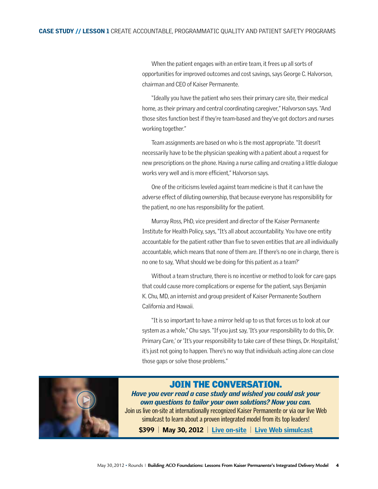When the patient engages with an entire team, it frees up all sorts of opportunities for improved outcomes and cost savings, says George C. Halvorson, chairman and CEO of Kaiser Permanente.

"Ideally you have the patient who sees their primary care site, their medical home, as their primary and central coordinating caregiver," Halvorson says. "And those sites function best if they're team-based and they've got doctors and nurses working together."

Team assignments are based on who is the most appropriate. "It doesn't necessarily have to be the physician speaking with a patient about a request for new prescriptions on the phone. Having a nurse calling and creating a little dialogue works very well and is more efficient," Halvorson says.

One of the criticisms leveled against team medicine is that it can have the adverse effect of diluting ownership, that because everyone has responsibility for the patient, no one has responsibility for the patient.

Murray Ross, PhD, vice president and director of the Kaiser Permanente Institute for Health Policy, says, "It's all about accountability. You have one entity accountable for the patient rather than five to seven entities that are all individually accountable, which means that none of them are. If there's no one in charge, there is no one to say, 'What should we be doing for this patient as a team?'

Without a team structure, there is no incentive or method to look for care gaps that could cause more complications or expense for the patient, says Benjamin K. Chu, MD, an internist and group president of Kaiser Permanente Southern California and Hawaii.

"It is so important to have a mirror held up to us that forces us to look at our system as a whole," Chu says. "If you just say, 'It's your responsibility to do this, Dr. Primary Care,' or 'It's your responsibility to take care of these things, Dr. Hospitalist,' it's just not going to happen. There's no way that individuals acting alone can close those gaps or solve those problems."



#### Join the Conversation.

*Have you ever read a case study and wished you could ask your own questions to tailor your own solutions? Now you can.*  Join us live on-site at internationally recognized Kaiser Permanente or via our live Web

simulcast to learn about a proven integrated model from its top leaders!

\$399 | May 30, 2012 | [Live on-site](http://www.hcmarketplace.com/Prod.cfm?id=10323&e_topic=WS_HLM2) | [Live Web simulcast](http://www.hcmarketplace.com/Prod.cfm?id=10324&e_topic=WS_HLM2)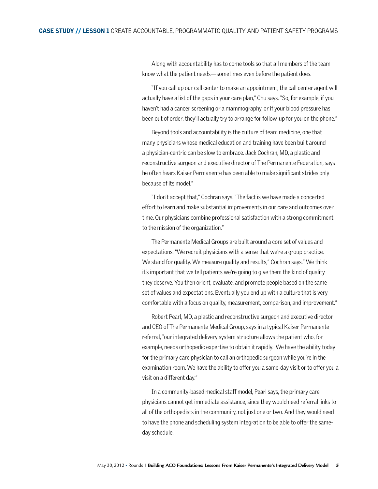Along with accountability has to come tools so that all members of the team know what the patient needs—sometimes even before the patient does.

"If you call up our call center to make an appointment, the call center agent will actually have a list of the gaps in your care plan," Chu says. "So, for example, if you haven't had a cancer screening or a mammography, or if your blood pressure has been out of order, they'll actually try to arrange for follow-up for you on the phone."

Beyond tools and accountability is the culture of team medicine, one that many physicians whose medical education and training have been built around a physician-centric can be slow to embrace. Jack Cochran, MD, a plastic and reconstructive surgeon and executive director of The Permanente Federation, says he often hears Kaiser Permanente has been able to make significant strides only because of its model."

"I don't accept that," Cochran says. "The fact is we have made a concerted effort to learn and make substantial improvements in our care and outcomes over time. Our physicians combine professional satisfaction with a strong commitment to the mission of the organization."

The Permanente Medical Groups are built around a core set of values and expectations. "We recruit physicians with a sense that we're a group practice. We stand for quality. We measure quality and results," Cochran says." We think it's important that we tell patients we're going to give them the kind of quality they deserve. You then orient, evaluate, and promote people based on the same set of values and expectations. Eventually you end up with a culture that is very comfortable with a focus on quality, measurement, comparison, and improvement."

Robert Pearl, MD, a plastic and reconstructive surgeon and executive director and CEO of The Permanente Medical Group, says in a typical Kaiser Permanente referral, "our integrated delivery system structure allows the patient who, for example, needs orthopedic expertise to obtain it rapidly. We have the ability today for the primary care physician to call an orthopedic surgeon while you're in the examination room. We have the ability to offer you a same-day visit or to offer you a visit on a different day."

In a community-based medical staff model, Pearl says, the primary care physicians cannot get immediate assistance, since they would need referral links to all of the orthopedists in the community, not just one or two. And they would need to have the phone and scheduling system integration to be able to offer the sameday schedule.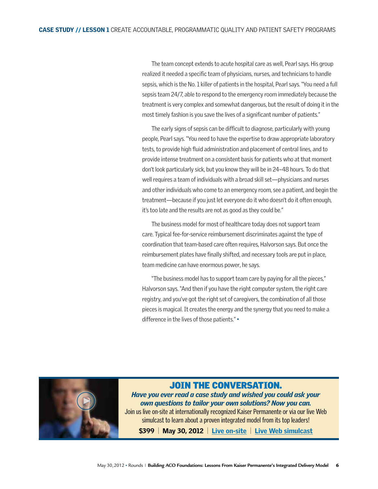The team concept extends to acute hospital care as well, Pearl says. His group realized it needed a specific team of physicians, nurses, and technicians to handle sepsis, which is the No. 1 killer of patients in the hospital, Pearl says. "You need a full sepsis team 24/7, able to respond to the emergency room immediately because the treatment is very complex and somewhat dangerous, but the result of doing it in the most timely fashion is you save the lives of a significant number of patients."

The early signs of sepsis can be difficult to diagnose, particularly with young people, Pearl says. "You need to have the expertise to draw appropriate laboratory tests, to provide high fluid administration and placement of central lines, and to provide intense treatment on a consistent basis for patients who at that moment don't look particularly sick, but you know they will be in 24–48 hours. To do that well requires a team of individuals with a broad skill set—physicians and nurses and other individuals who come to an emergency room, see a patient, and begin the treatment—because if you just let everyone do it who doesn't do it often enough, it's too late and the results are not as good as they could be."

The business model for most of healthcare today does not support team care. Typical fee-for-service reimbursement discriminates against the type of coordination that team-based care often requires, Halvorson says. But once the reimbursement plates have finally shifted, and necessary tools are put in place, team medicine can have enormous power, he says.

"The business model has to support team care by paying for all the pieces," Halvorson says. "And then if you have the right computer system, the right care registry, and you've got the right set of caregivers, the combination of all those pieces is magical. It creates the energy and the synergy that you need to make a difference in the lives of those patients." •



#### Join the Conversation.

*Have you ever read a case study and wished you could ask your own questions to tailor your own solutions? Now you can.*  Join us live on-site at internationally recognized Kaiser Permanente or via our live Web simulcast to learn about a proven integrated model from its top leaders!

\$399 | May 30, 2012 | [Live on-site](http://www.hcmarketplace.com/Prod.cfm?id=10323&e_topic=WS_HLM2) | [Live Web simulcast](http://www.hcmarketplace.com/Prod.cfm?id=10324&e_topic=WS_HLM2)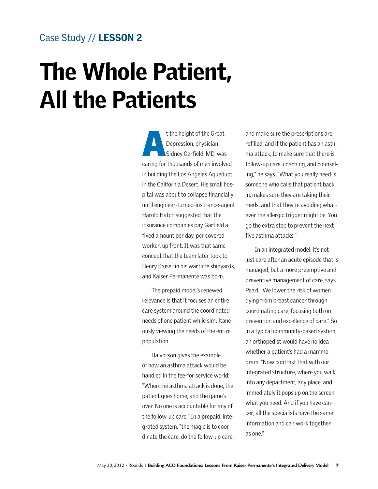#### <span id="page-6-0"></span>Case Study // LESSON 2

## The Whole Patient, All the Patients

t the height of the Great<br>Depression, physician<br>Sidney Garfield, MD, was Depression, physician caring for thousands of men involved in building the Los Angeles Aqueduct in the California Desert. His small hospital was about to collapse financially until engineer-turned-insurance-agent Harold Hatch suggested that the insurance companies pay Garfield a fixed amount per day, per covered worker, up front. It was that same concept that the team later took to Henry Kaiser in his wartime shipyards, and Kaiser Permanente was born.

The prepaid model's renewed relevance is that it focuses an entire care system around the coordinated needs of one patient while simultaneously viewing the needs of the entire population.

Halvorson gives the example of how an asthma attack would be handled in the fee-for service world: "When the asthma attack is done, the patient goes home, and the game's over. No one is accountable for any of the follow-up care." In a prepaid, integrated system, "the magic is to coordinate the care, do the follow-up care, and make sure the prescriptions are refilled, and if the patient has an asthma attack, to make sure that there is follow-up care, coaching, and counseling," he says. "What you really need is someone who calls that patient back in, makes sure they are taking their meds, and that they're avoiding whatever the allergic trigger might be. You go the extra step to prevent the next five asthma attacks."

In an integrated model, it's not just care after an acute episode that is managed, but a more preemptive and preventive management of care, says Pearl. "We lower the risk of women dying from breast cancer through coordinating care, focusing both on prevention and excellence of care." So in a typical community-based system, an orthopedist would have no idea whether a patient's had a mammogram. "Now contrast that with our integrated structure, where you walk into any department, any place, and immediately it pops up on the screen what you need. And if you have cancer, all the specialists have the same information and can work together as one."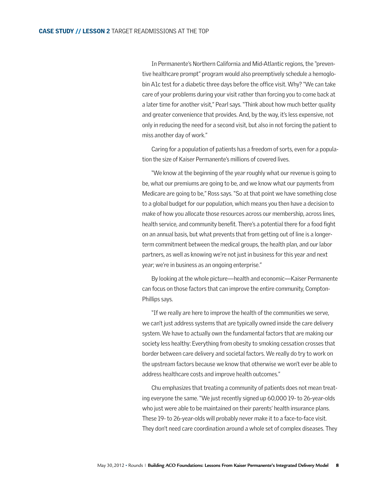In Permanente's Northern California and Mid-Atlantic regions, the "preventive healthcare prompt" program would also preemptively schedule a hemoglobin A1c test for a diabetic three days before the office visit. Why? "We can take care of your problems during your visit rather than forcing you to come back at a later time for another visit," Pearl says. "Think about how much better quality and greater convenience that provides. And, by the way, it's less expensive, not only in reducing the need for a second visit, but also in not forcing the patient to miss another day of work."

Caring for a population of patients has a freedom of sorts, even for a population the size of Kaiser Permanente's millions of covered lives.

"We know at the beginning of the year roughly what our revenue is going to be, what our premiums are going to be, and we know what our payments from Medicare are going to be," Ross says. "So at that point we have something close to a global budget for our population, which means you then have a decision to make of how you allocate those resources across our membership, across lines, health service, and community benefit. There's a potential there for a food fight on an annual basis, but what prevents that from getting out of line is a longerterm commitment between the medical groups, the health plan, and our labor partners, as well as knowing we're not just in business for this year and next year; we're in business as an ongoing enterprise."

By looking at the whole picture—health and economic—Kaiser Permanente can focus on those factors that can improve the entire community, Compton-Phillips says.

"If we really are here to improve the health of the communities we serve, we can't just address systems that are typically owned inside the care delivery system. We have to actually own the fundamental factors that are making our society less healthy: Everything from obesity to smoking cessation crosses that border between care delivery and societal factors. We really do try to work on the upstream factors because we know that otherwise we won't ever be able to address healthcare costs and improve health outcomes."

Chu emphasizes that treating a community of patients does not mean treating everyone the same. "We just recently signed up 60,000 19- to 26-year-olds who just were able to be maintained on their parents' health insurance plans. These 19- to 26-year-olds will probably never make it to a face-to-face visit. They don't need care coordination around a whole set of complex diseases. They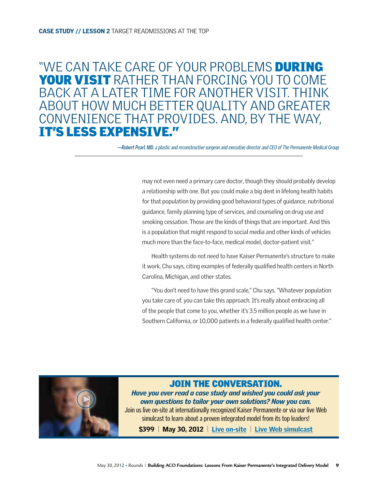## "WE CAN TAKE CARE OF YOUR PROBLEMS DURING YOUR VISIT RATHER THAN FORCING YOU TO COME back at a later time for another visit. Think about how much better quality and greater convenience that provides. And, by the way, it's less expensive."

**—Robert Pearl, MD,** a plastic and reconstructive surgeon and executive director and CEO of The Permanente Medical Group

may not even need a primary care doctor, though they should probably develop a relationship with one. But you could make a big dent in lifelong health habits for that population by providing good behavioral types of guidance, nutritional guidance, family planning type of services, and counseling on drug use and smoking cessation. Those are the kinds of things that are important. And this is a population that might respond to social media and other kinds of vehicles much more than the face-to-face, medical model, doctor-patient visit."

Health systems do not need to have Kaiser Permanente's structure to make it work, Chu says, citing examples of federally qualified health centers in North Carolina, Michigan, and other states.

"You don't need to have this grand scale," Chu says. "Whatever population you take care of, you can take this approach. It's really about embracing all of the people that come to you, whether it's 3.5 million people as we have in Southern California, or 10,000 patients in a federally qualified health center."



#### Join the Conversation.

*Have you ever read a case study and wished you could ask your own questions to tailor your own solutions? Now you can.*  Join us live on-site at internationally recognized Kaiser Permanente or via our live Web

simulcast to learn about a proven integrated model from its top leaders!

\$399 | May 30, 2012 | [Live on-site](http://www.hcmarketplace.com/Prod.cfm?id=10323&e_topic=WS_HLM2) | [Live Web simulcast](http://www.hcmarketplace.com/Prod.cfm?id=10324&e_topic=WS_HLM2)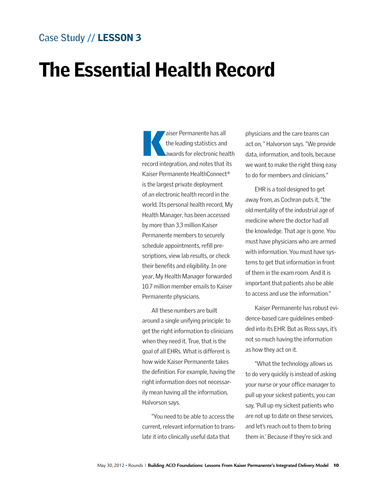#### <span id="page-9-0"></span>Case Study // LESSON 3

## The Essential Health Record

aiser Permanente has all<br>the leading statistics and<br>awards for electronic health the leading statistics and record integration, and notes that its Kaiser Permanente HealthConnect® is the largest private deployment of an electronic health record in the world. Its personal health record, My Health Manager, has been accessed by more than 3.3 million Kaiser Permanente members to securely schedule appointments, refill prescriptions, view lab results, or check their benefits and eligibility. In one year, My Health Manager forwarded 10.7 million member emails to Kaiser Permanente physicians.

All these numbers are built around a single unifying principle: to get the right information to clinicians when they need it. True, that is the goal of all EHRs. What is different is how wide Kaiser Permanente takes the definition. For example, having the right information does not necessarily mean having all the information, Halvorson says.

"You need to be able to access the current, relevant information to translate it into clinically useful data that

physicians and the care teams can act on, " Halvorson says. "We provide data, information, and tools, because we want to make the right thing easy to do for members and clinicians."

EHR is a tool designed to get away from, as Cochran puts it, "the old mentality of the industrial age of medicine where the doctor had all the knowledge. That age is gone. You must have physicians who are armed with information. You must have systems to get that information in front of them in the exam room. And it is important that patients also be able to access and use the information."

Kaiser Permanente has robust evidence-based care guidelines embedded into its EHR. But as Ross says, it's not so much having the information as how they act on it.

"What the technology allows us to do very quickly is instead of asking your nurse or your office manager to pull up your sickest patients, you can say, 'Pull up my sickest patients who are not up to date on these services, and let's reach out to them to bring them in.' Because if they're sick and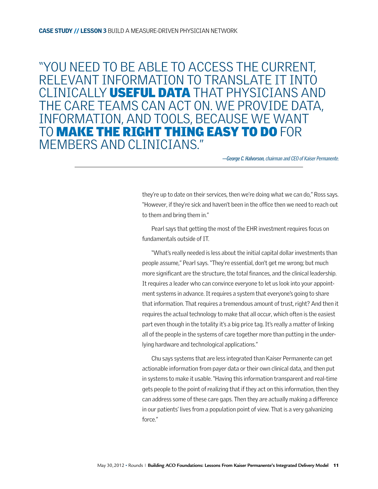"You need to be able to access the current, relevant information to translate it into clinically useful data that physicians and the care teams can act on. We provide data, information, and tools, because we want TO **MAKE THE RIGHT THING EASY TO DO** FOR members and clinicians."

**—George C. Halvorson,** chairman and CEO of Kaiser Permanente.

they're up to date on their services, then we're doing what we can do," Ross says. "However, if they're sick and haven't been in the office then we need to reach out to them and bring them in."

Pearl says that getting the most of the EHR investment requires focus on fundamentals outside of IT.

"What's really needed is less about the initial capital dollar investments than people assume," Pearl says. "They're essential, don't get me wrong; but much more significant are the structure, the total finances, and the clinical leadership. It requires a leader who can convince everyone to let us look into your appointment systems in advance. It requires a system that everyone's going to share that information. That requires a tremendous amount of trust, right? And then it requires the actual technology to make that all occur, which often is the easiest part even though in the totality it's a big price tag. It's really a matter of linking all of the people in the systems of care together more than putting in the underlying hardware and technological applications."

Chu says systems that are less integrated than Kaiser Permanente can get actionable information from payer data or their own clinical data, and then put in systems to make it usable. "Having this information transparent and real-time gets people to the point of realizing that if they act on this information, then they can address some of these care gaps. Then they are actually making a difference in our patients' lives from a population point of view. That is a very galvanizing force."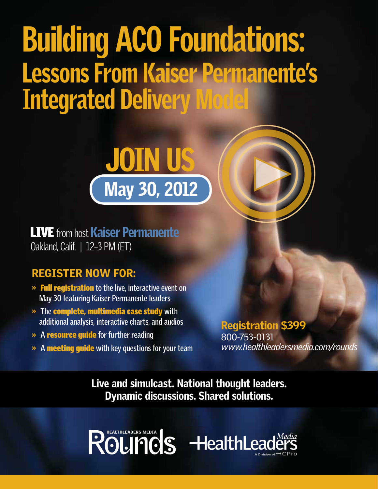# Building ACO Foundations: Lessons From Kaiser Permanente's Integrated Delivery Model



**LIVE** from host Kaiser Permanente Oakland, Calif. | 12–3 PM (ET)

## Register now for:

- »Full registration **to the live, interactive event on May 30 featuring Kaiser Permanente leaders**
- » **The** complete, multimedia case study **with additional analysis, interactive charts, and audios**
- » **A** resource guide **for further reading**
- » **A** meeting guide **with key questions for your team**

Registration \$399 800-753-0131 *www.healthleadersmedia.com/rounds*

Live and simulcast. National thought leaders. Dynamic discussions. Shared solutions.